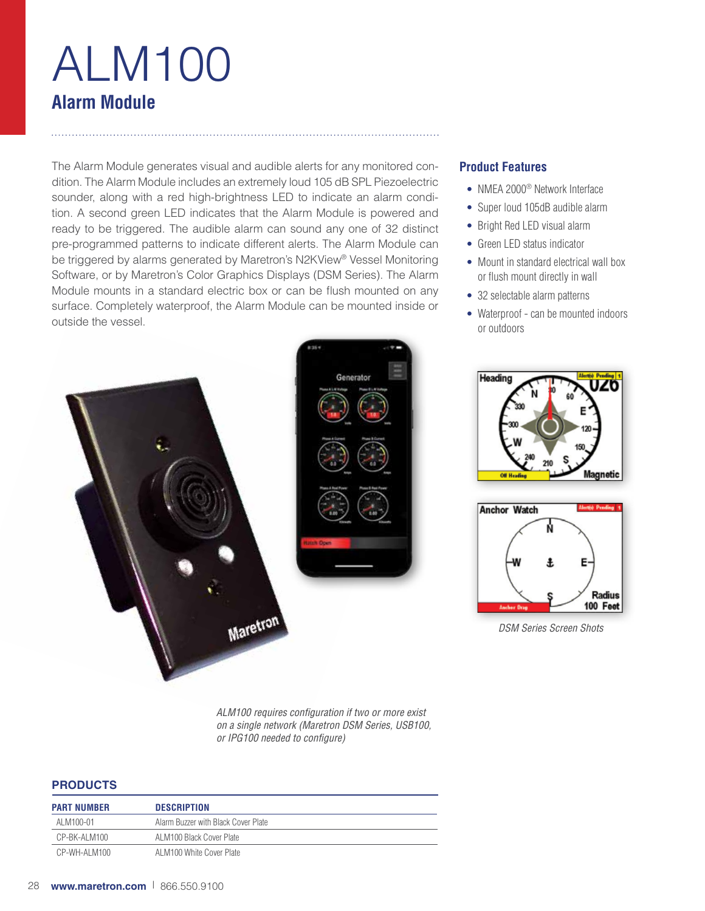# ALM100 **Alarm Module**

The Alarm Module generates visual and audible alerts for any monitored condition. The Alarm Module includes an extremely loud 105 dB SPL Piezoelectric sounder, along with a red high-brightness LED to indicate an alarm condition. A second green LED indicates that the Alarm Module is powered and ready to be triggered. The audible alarm can sound any one of 32 distinct pre-programmed patterns to indicate different alerts. The Alarm Module can be triggered by alarms generated by Maretron's N2KView® Vessel Monitoring Software, or by Maretron's Color Graphics Displays (DSM Series). The Alarm Module mounts in a standard electric box or can be flush mounted on any surface. Completely waterproof, the Alarm Module can be mounted inside or outside the vessel.



- NMEA 2000® Network Interface
- Super loud 105dB audible alarm
- Bright Red LED visual alarm
- Green LED status indicator
- Mount in standard electrical wall box or flush mount directly in wall
- 32 selectable alarm patterns
- Waterproof can be mounted indoors or outdoors





*DSM Series Screen Shots*

*ALM100 requires configuration if two or more exist on a single network (Maretron DSM Series, USB100, or IPG100 needed to configure)*

### **PRODUCTS**

| <b>PART NUMBER</b> | <b>DESCRIPTION</b>                  |
|--------------------|-------------------------------------|
| AI M100-01         | Alarm Buzzer with Black Cover Plate |
| CP-BK-ALM100       | ALM100 Black Cover Plate            |
| CP-WH-ALM100       | ALM100 White Cover Plate            |